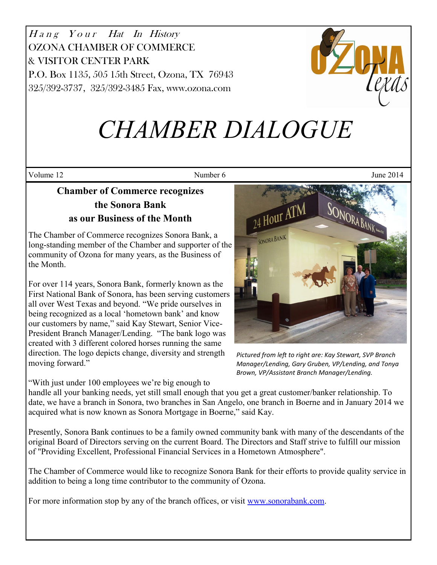Hang Your Hat In History OZONA CHAMBER OF COMMERCE & VISITOR CENTER PARK P.O. Box 1135, 505 15th Street, Ozona, TX 76943 325/392-3737, 325/392-3485 Fax, www.ozona.com



# *CHAMBER DIALOGUE*

Volume 12 June 2014

# **Chamber of Commerce recognizes the Sonora Bank as our Business of the Month**

The Chamber of Commerce recognizes Sonora Bank, a long-standing member of the Chamber and supporter of the community of Ozona for many years, as the Business of the Month.

For over 114 years, Sonora Bank, formerly known as the First National Bank of Sonora, has been serving customers all over West Texas and beyond. "We pride ourselves in being recognized as a local 'hometown bank' and know our customers by name," said Kay Stewart, Senior Vice-President Branch Manager/Lending. "The bank logo was created with 3 different colored horses running the same direction. The logo depicts change, diversity and strength moving forward."

"With just under 100 employees we're big enough to

24 Hour ATM SONORA BAN SONORA BANK

*Pictured from left to right are: Kay Stewart, SVP Branch Manager/Lending, Gary Gruben, VP/Lending, and Tonya Brown, VP/Assistant Branch Manager/Lending.* 

handle all your banking needs, yet still small enough that you get a great customer/banker relationship. To date, we have a branch in Sonora, two branches in San Angelo, one branch in Boerne and in January 2014 we acquired what is now known as Sonora Mortgage in Boerne," said Kay.

Presently, Sonora Bank continues to be a family owned community bank with many of the descendants of the original Board of Directors serving on the current Board. The Directors and Staff strive to fulfill our mission of "Providing Excellent, Professional Financial Services in a Hometown Atmosphere".

The Chamber of Commerce would like to recognize Sonora Bank for their efforts to provide quality service in addition to being a long time contributor to the community of Ozona.

For more information stop by any of the branch offices, or visit [www.sonorabank.com.](http://www.sonorabank.com/)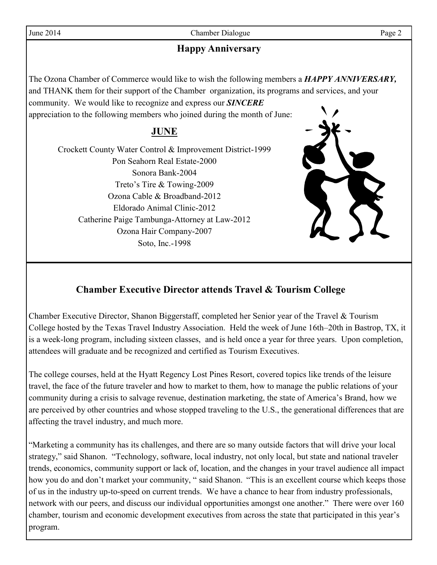June 2014 Chamber Dialogue Page 2

# **Happy Anniversary**

The Ozona Chamber of Commerce would like to wish the following members a *HAPPY ANNIVERSARY,* and THANK them for their support of the Chamber organization, its programs and services, and your community. We would like to recognize and express our *SINCERE*  appreciation to the following members who joined during the month of June:

### **JUNE**

Crockett County Water Control & Improvement District-1999 Pon Seahorn Real Estate-2000 Sonora Bank-2004 Treto's Tire & Towing-2009 Ozona Cable & Broadband-2012 Eldorado Animal Clinic-2012 Catherine Paige Tambunga-Attorney at Law-2012 Ozona Hair Company-2007 Soto, Inc.-1998



# **Chamber Executive Director attends Travel & Tourism College**

Chamber Executive Director, Shanon Biggerstaff, completed her Senior year of the Travel & Tourism College hosted by the Texas Travel Industry Association. Held the week of June 16th–20th in Bastrop, TX, it is a week-long program, including sixteen classes, and is held once a year for three years. Upon completion, attendees will graduate and be recognized and certified as Tourism Executives.

The college courses, held at the Hyatt Regency Lost Pines Resort, covered topics like trends of the leisure travel, the face of the future traveler and how to market to them, how to manage the public relations of your community during a crisis to salvage revenue, destination marketing, the state of America's Brand, how we are perceived by other countries and whose stopped traveling to the U.S., the generational differences that are affecting the travel industry, and much more.

"Marketing a community has its challenges, and there are so many outside factors that will drive your local strategy," said Shanon. "Technology, software, local industry, not only local, but state and national traveler trends, economics, community support or lack of, location, and the changes in your travel audience all impact how you do and don't market your community, " said Shanon. "This is an excellent course which keeps those of us in the industry up-to-speed on current trends. We have a chance to hear from industry professionals, network with our peers, and discuss our individual opportunities amongst one another." There were over 160 chamber, tourism and economic development executives from across the state that participated in this year's program.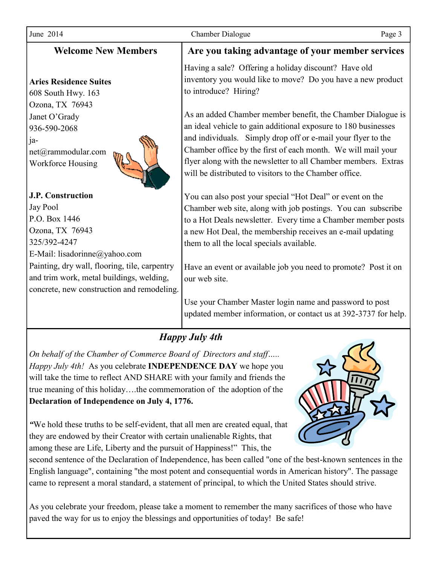| June 2014                                                                                                                                                                                                              | <b>Chamber Dialogue</b><br>Page 3                                                                                                                                                                                                                                                                                                                                                         |  |  |  |  |
|------------------------------------------------------------------------------------------------------------------------------------------------------------------------------------------------------------------------|-------------------------------------------------------------------------------------------------------------------------------------------------------------------------------------------------------------------------------------------------------------------------------------------------------------------------------------------------------------------------------------------|--|--|--|--|
| <b>Welcome New Members</b>                                                                                                                                                                                             | Are you taking advantage of your member services                                                                                                                                                                                                                                                                                                                                          |  |  |  |  |
| <b>Aries Residence Suites</b><br>608 South Hwy. 163                                                                                                                                                                    | Having a sale? Offering a holiday discount? Have old<br>inventory you would like to move? Do you have a new product<br>to introduce? Hiring?                                                                                                                                                                                                                                              |  |  |  |  |
| Ozona, TX 76943<br>Janet O'Grady<br>936-590-2068<br>ja-<br>net@rammodular.com<br><b>Workforce Housing</b>                                                                                                              | As an added Chamber member benefit, the Chamber Dialogue is<br>an ideal vehicle to gain additional exposure to 180 businesses<br>and individuals. Simply drop off or e-mail your flyer to the<br>Chamber office by the first of each month. We will mail your<br>flyer along with the newsletter to all Chamber members. Extras<br>will be distributed to visitors to the Chamber office. |  |  |  |  |
| <b>J.P. Construction</b><br>Jay Pool<br>P.O. Box 1446<br>Ozona, TX 76943<br>325/392-4247<br>E-Mail: lisadorinne@yahoo.com<br>Painting, dry wall, flooring, tile, carpentry<br>and trim work, metal buildings, welding, | You can also post your special "Hot Deal" or event on the<br>Chamber web site, along with job postings. You can subscribe<br>to a Hot Deals newsletter. Every time a Chamber member posts<br>a new Hot Deal, the membership receives an e-mail updating<br>them to all the local specials available.<br>Have an event or available job you need to promote? Post it on<br>our web site.   |  |  |  |  |
| concrete, new construction and remodeling.                                                                                                                                                                             | Use your Chamber Master login name and password to post<br>updated member information, or contact us at 392-3737 for help.                                                                                                                                                                                                                                                                |  |  |  |  |

*On behalf of the Chamber of Commerce Board of Directors and staff….. Happy July 4th!* As you celebrate **INDEPENDENCE DAY** we hope you will take the time to reflect AND SHARE with your family and friends the true meaning of this holiday….the commemoration of the adoption of the **Declaration of Independence on July 4, 1776.**



*"*We hold these truths to be self-evident, that all men are created equal, that they are endowed by their Creator with certain unalienable Rights, that among these are Life, Liberty and the pursuit of Happiness!" This, the

second sentence of the Declaration of Independence, has been called "one of the best-known sentences in the English language", [co](http://en.wikipedia.org/wiki/United_States_Declaration_of_Independence#cite_note-6)ntaining "the most potent and consequential words in American history". The passage came to represent a moral standard, a statement of principal, to which the United States should strive.

As you celebrate your freedom, please take a moment to remember the many sacrifices of those who have paved the way for us to enjoy the blessings and opportunities of today! Be safe!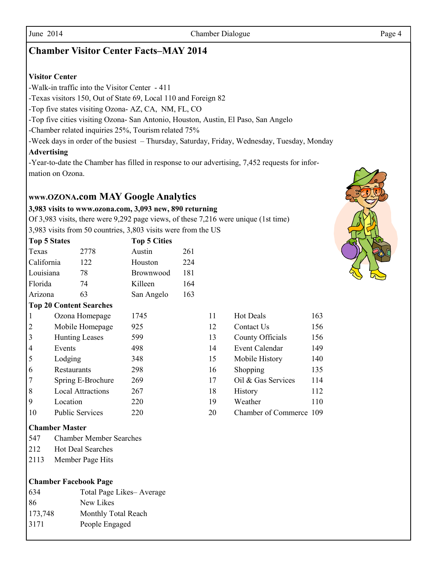#### June 2014 Chamber Dialogue Page 4

#### **Chamber Visitor Center Facts–MAY 2014**

#### **Visitor Center**

-Walk-in traffic into the Visitor Center - 411

-Texas visitors 150, Out of State 69, Local 110 and Foreign 82

-Top five states visiting Ozona- AZ, CA, NM, FL, CO

-Top five cities visiting Ozona- San Antonio, Houston, Austin, El Paso, San Angelo

-Chamber related inquiries 25%, Tourism related 75%

-Week days in order of the busiest – Thursday, Saturday, Friday, Wednesday, Tuesday, Monday

#### **Advertising**

-Year-to-date the Chamber has filled in response to our advertising, 7,452 requests for information on Ozona.

#### **www.OZONA.com MAY Google Analytics**

#### **3,983 visits to www.ozona.com, 3,093 new, 890 returning**

Of 3,983 visits, there were 9,292 page views, of these 7,216 were unique (1st time) 3,983 visits from 50 countries, 3,803 visits were from the US

|                  | <b>Top 5 States</b>               |                |                                | <b>Top 5 Cities</b> |          |                    |                         |     |
|------------------|-----------------------------------|----------------|--------------------------------|---------------------|----------|--------------------|-------------------------|-----|
|                  | Texas                             |                | 2778                           | Austin              | 261      |                    |                         |     |
|                  | California                        |                | 122                            | Houston             | 224      |                    |                         |     |
|                  | Louisiana                         |                | 78                             | <b>Brownwood</b>    | 181      |                    |                         |     |
|                  | Florida                           |                | 74                             | Killeen             | 164      |                    |                         |     |
|                  | Arizona                           |                | 63                             | San Angelo          | 163      |                    |                         |     |
|                  |                                   |                | <b>Top 20 Content Searches</b> |                     |          |                    |                         |     |
|                  | 1                                 | Ozona Homepage |                                | 1745                |          | 11                 | <b>Hot Deals</b>        | 163 |
|                  | $\overline{2}$<br>Mobile Homepage |                | 925                            |                     | 12       | Contact Us         | 156                     |     |
|                  | 3                                 |                | <b>Hunting Leases</b>          | 599                 |          | 13                 | County Officials        | 156 |
|                  | $\overline{4}$                    | Events         |                                | 498                 |          | 14                 | <b>Event Calendar</b>   | 149 |
|                  | 5                                 | Lodging        |                                | 348                 |          | 15                 | Mobile History          | 140 |
| 6<br>Restaurants |                                   | 298            |                                | 16                  | Shopping | 135                |                         |     |
|                  | 7<br>Spring E-Brochure            |                | 269                            |                     | 17       | Oil & Gas Services | 114                     |     |
|                  | 8<br><b>Local Attractions</b>     |                | 267                            |                     | 18       | <b>History</b>     | 112                     |     |
| 9<br>Location    |                                   | 220            |                                | 19                  | Weather  | 110                |                         |     |
|                  | 10                                |                | <b>Public Services</b>         | 220                 |          | 20                 | Chamber of Commerce 109 |     |

# 13 County Officials 156 14 Event Calendar 149 15 Mobile History 140 16 Shopping 135 17 Oil & Gas Services 114 20 Chamber of Commerce 109

#### **Chamber Master**

- 547 Chamber Member Searches
- 212 Hot Deal Searches
- 2113 Member Page Hits

#### **Chamber Facebook Page**

| 634     | Total Page Likes-Average |
|---------|--------------------------|
| 86      | New Likes                |
| 173,748 | Monthly Total Reach      |
| 3171    | People Engaged           |
|         |                          |